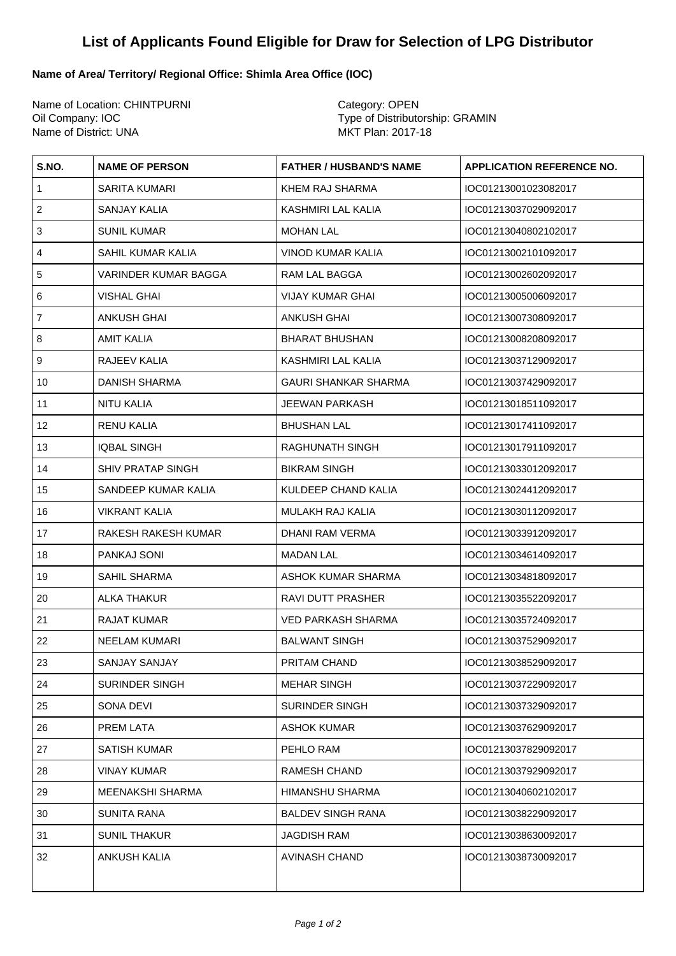## **List of Applicants Found Eligible for Draw for Selection of LPG Distributor**

## **Name of Area/ Territory/ Regional Office: Shimla Area Office (IOC)**

Name of Location: CHINTPURNI Category: OPEN Oil Company: IOC <br>
Name of District: UNA<br>
Name of District: UNA<br>
Type of Distributorship: GRAMIN<br>
MKT Plan: 2017-18 Name of District: UNA

| S.NO.                     | <b>NAME OF PERSON</b>       | <b>FATHER / HUSBAND'S NAME</b> | <b>APPLICATION REFERENCE NO.</b> |
|---------------------------|-----------------------------|--------------------------------|----------------------------------|
| $\mathbf{1}$              | SARITA KUMARI               | KHEM RAJ SHARMA                | IOC01213001023082017             |
| $\overline{2}$            | SANJAY KALIA                | KASHMIRI LAL KALIA             | IOC01213037029092017             |
| $\ensuremath{\mathsf{3}}$ | <b>SUNIL KUMAR</b>          | <b>MOHAN LAL</b>               | IOC01213040802102017             |
| $\overline{4}$            | SAHIL KUMAR KALIA           | VINOD KUMAR KALIA              | IOC01213002101092017             |
| $\mathbf 5$               | <b>VARINDER KUMAR BAGGA</b> | RAM LAL BAGGA                  | IOC01213002602092017             |
| 6                         | VISHAL GHAI                 | <b>VIJAY KUMAR GHAI</b>        | IOC01213005006092017             |
| $\overline{7}$            | <b>ANKUSH GHAI</b>          | ANKUSH GHAI                    | IOC01213007308092017             |
| 8                         | AMIT KALIA                  | <b>BHARAT BHUSHAN</b>          | IOC01213008208092017             |
| $\boldsymbol{9}$          | RAJEEV KALIA                | KASHMIRI LAL KALIA             | IOC01213037129092017             |
| 10                        | DANISH SHARMA               | <b>GAURI SHANKAR SHARMA</b>    | IOC01213037429092017             |
| 11                        | NITU KALIA                  | <b>JEEWAN PARKASH</b>          | IOC01213018511092017             |
| 12                        | RENU KALIA                  | <b>BHUSHAN LAL</b>             | IOC01213017411092017             |
| 13                        | <b>IQBAL SINGH</b>          | RAGHUNATH SINGH                | IOC01213017911092017             |
| 14                        | SHIV PRATAP SINGH           | <b>BIKRAM SINGH</b>            | IOC01213033012092017             |
| 15                        | SANDEEP KUMAR KALIA         | KULDEEP CHAND KALIA            | IOC01213024412092017             |
| 16                        | <b>VIKRANT KALIA</b>        | MULAKH RAJ KALIA               | IOC01213030112092017             |
| 17                        | RAKESH RAKESH KUMAR         | DHANI RAM VERMA                | IOC01213033912092017             |
| 18                        | PANKAJ SONI                 | <b>MADAN LAL</b>               | IOC01213034614092017             |
| 19                        | SAHIL SHARMA                | ASHOK KUMAR SHARMA             | IOC01213034818092017             |
| 20                        | ALKA THAKUR                 | RAVI DUTT PRASHER              | IOC01213035522092017             |
| 21                        | <b>RAJAT KUMAR</b>          | <b>VED PARKASH SHARMA</b>      | IOC01213035724092017             |
| 22                        | NEELAM KUMARI               | <b>BALWANT SINGH</b>           | IOC01213037529092017             |
| 23                        | SANJAY SANJAY               | PRITAM CHAND                   | IOC01213038529092017             |
| 24                        | <b>SURINDER SINGH</b>       | <b>MEHAR SINGH</b>             | IOC01213037229092017             |
| 25                        | SONA DEVI                   | <b>SURINDER SINGH</b>          | IOC01213037329092017             |
| 26                        | PREM LATA                   | <b>ASHOK KUMAR</b>             | IOC01213037629092017             |
| 27                        | <b>SATISH KUMAR</b>         | PEHLO RAM                      | IOC01213037829092017             |
| 28                        | <b>VINAY KUMAR</b>          | <b>RAMESH CHAND</b>            | IOC01213037929092017             |
| 29                        | <b>MEENAKSHI SHARMA</b>     | <b>HIMANSHU SHARMA</b>         | IOC01213040602102017             |
| 30                        | <b>SUNITA RANA</b>          | <b>BALDEV SINGH RANA</b>       | IOC01213038229092017             |
| 31                        | <b>SUNIL THAKUR</b>         | <b>JAGDISH RAM</b>             | IOC01213038630092017             |
| 32                        | <b>ANKUSH KALIA</b>         | <b>AVINASH CHAND</b>           | IOC01213038730092017             |
|                           |                             |                                |                                  |